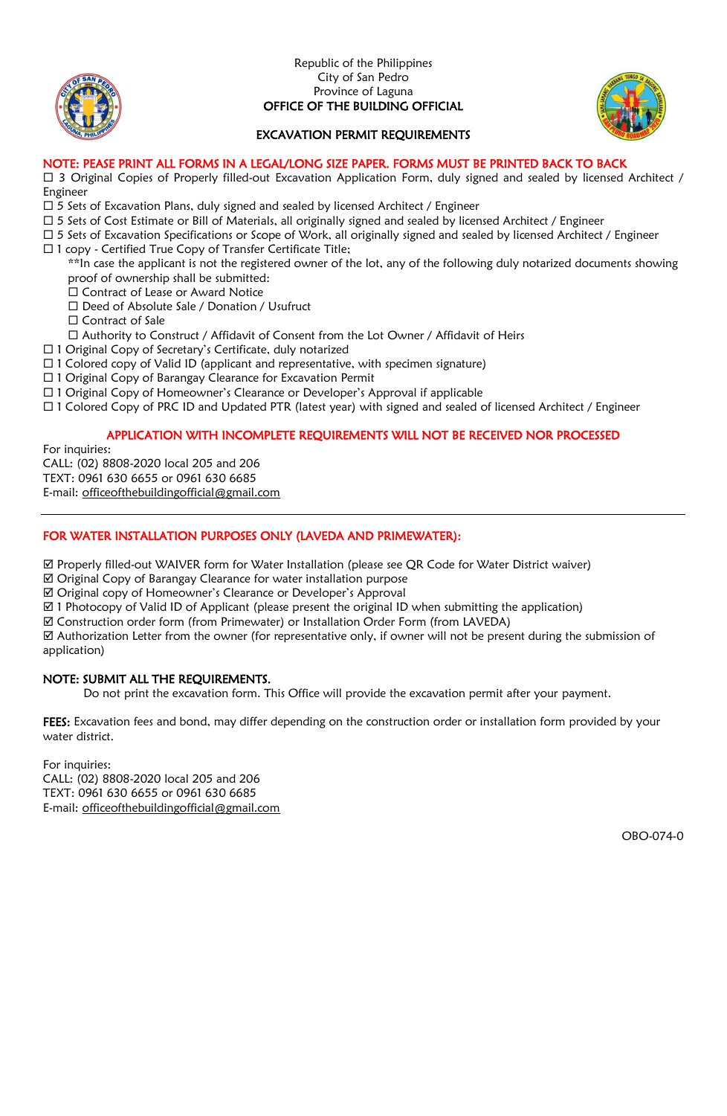



### EXCAVATION PERMIT REQUIREMENTS

### NOTE: PEASE PRINT ALL FORMS IN A LEGAL/LONG SIZE PAPER. FORMS MUST BE PRINTED BACK TO BACK

 $\Box$  3 Original Copies of Properly filled-out Excavation Application Form, duly signed and sealed by licensed Architect / Engineer

- $\Box$  5 Sets of Excavation Plans, duly signed and sealed by licensed Architect / Engineer
- $\Box$  5 Sets of Cost Estimate or Bill of Materials, all originally signed and sealed by licensed Architect / Engineer
- □ 5 Sets of Excavation Specifications or Scope of Work, all originally signed and sealed by licensed Architect / Engineer
- $\Box$  1 copy Certified True Copy of Transfer Certificate Title;

\*\*In case the applicant is not the registered owner of the lot, any of the following duly notarized documents showing proof of ownership shall be submitted:

- .<br>□ Contract of Lease or Award Notice
- □ Deed of Absolute Sale / Donation / Usufruct
- $\square$  Contract of Sale
- Authority to Construct / Affidavit of Consent from the Lot Owner / Affidavit of Heirs
- □ 1 Original Copy of Secretary's Certificate, duly notarized
- $\Box$  1 Colored copy of Valid ID (applicant and representative, with specimen signature)
- □ 1 Original Copy of Barangay Clearance for Excavation Permit
- 1 Original Copy of Homeowner's Clearance or Developer's Approval if applicable
- 1 Colored Copy of PRC ID and Updated PTR (latest year) with signed and sealed of licensed Architect / Engineer

### APPLICATION WITH INCOMPLETE REQUIREMENTS WILL NOT BE RECEIVED NOR PROCESSED

For inquiries:

CALL: (02) 8808-2020 local 205 and 206

TEXT: 0961 630 6655 or 0961 630 6685

E-mail: [officeofthebuildingofficial@gmail.com](mailto:officeofthebuildingofficial@gmail.com)

### FOR WATER INSTALLATION PURPOSES ONLY (LAVEDA AND PRIMEWATER):

Properly filled-out WAIVER form for Water Installation (please see QR Code for Water District waiver)

Original Copy of Barangay Clearance for water installation purpose

Original copy of Homeowner's Clearance or Developer's Approval

1 Photocopy of Valid ID of Applicant (please present the original ID when submitting the application)

Construction order form (from Primewater) or Installation Order Form (from LAVEDA)

 Authorization Letter from the owner (for representative only, if owner will not be present during the submission of application)

### NOTE: SUBMIT ALL THE REQUIREMENTS.

Do not print the excavation form. This Office will provide the excavation permit after your payment.

FEES: Excavation fees and bond, may differ depending on the construction order or installation form provided by your water district.

For inquiries:

CALL: (02) 8808-2020 local 205 and 206 TEXT: 0961 630 6655 or 0961 630 6685 E-mail: [officeofthebuildingofficial@gmail.com](mailto:officeofthebuildingofficial@gmail.com)

OBO-074-0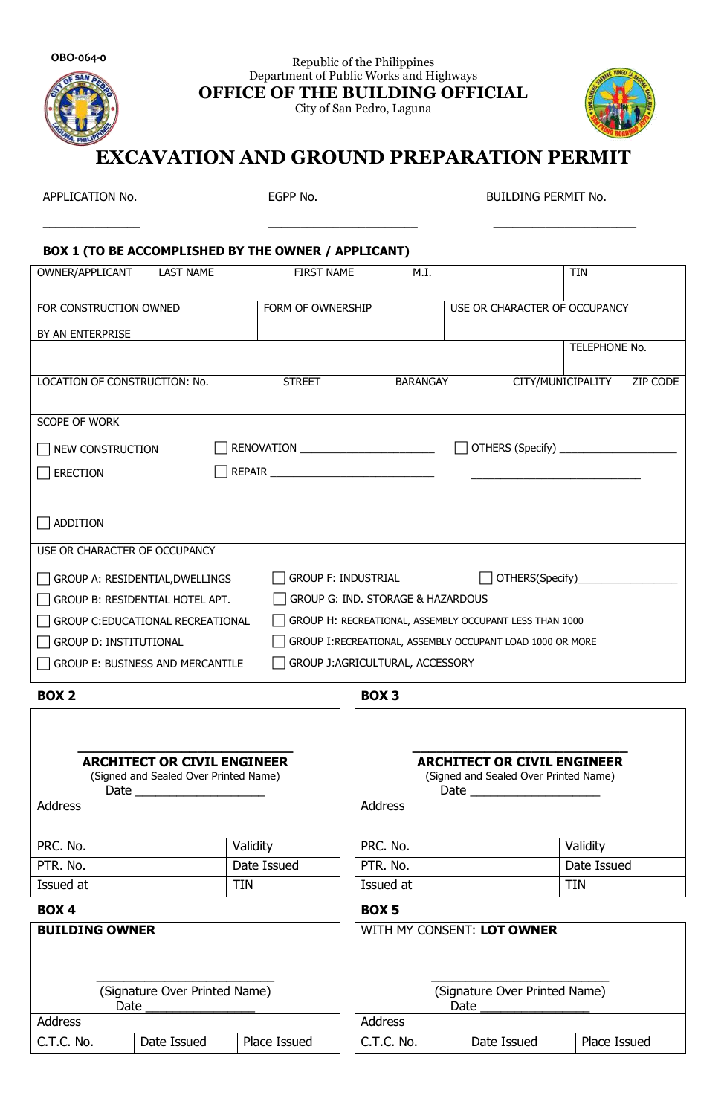

Republic of the Philippines Department of Public Works and Highways **OFFICE OF THE BUILDING OFFICIAL**

City of San Pedro, Laguna



# **EXCAVATION AND GROUND PREPARATION PERMIT**

\_\_\_\_\_\_\_\_\_\_\_\_\_\_\_ \_\_\_\_\_\_\_\_\_\_\_\_\_\_\_\_\_\_\_\_\_\_\_ \_\_\_\_\_\_\_\_\_\_\_\_\_\_\_\_\_\_\_\_\_\_

APPLICATION No. EGPP No. BUILDING PERMIT No.

## **BOX 1 (TO BE ACCOMPLISHED BY THE OWNER / APPLICANT)**

| OWNER/APPLICANT<br><b>LAST NAME</b>                                                                | <b>FIRST NAME</b>                                           | M.I.                                                                                |                               | <b>TIN</b>                    |
|----------------------------------------------------------------------------------------------------|-------------------------------------------------------------|-------------------------------------------------------------------------------------|-------------------------------|-------------------------------|
| FOR CONSTRUCTION OWNED                                                                             | FORM OF OWNERSHIP                                           |                                                                                     | USE OR CHARACTER OF OCCUPANCY |                               |
| BY AN ENTERPRISE                                                                                   |                                                             |                                                                                     |                               |                               |
|                                                                                                    |                                                             |                                                                                     |                               | TELEPHONE No.                 |
| LOCATION OF CONSTRUCTION: No.                                                                      | <b>STREET</b>                                               | <b>BARANGAY</b>                                                                     |                               | CITY/MUNICIPALITY<br>ZIP CODE |
|                                                                                                    |                                                             |                                                                                     |                               |                               |
| <b>SCOPE OF WORK</b>                                                                               |                                                             |                                                                                     |                               |                               |
| NEW CONSTRUCTION                                                                                   | RENOVATION _______________________________                  |                                                                                     |                               |                               |
| <b>ERECTION</b>                                                                                    |                                                             |                                                                                     |                               |                               |
|                                                                                                    |                                                             |                                                                                     |                               |                               |
| <b>ADDITION</b>                                                                                    |                                                             |                                                                                     |                               |                               |
| USE OR CHARACTER OF OCCUPANCY                                                                      |                                                             |                                                                                     |                               |                               |
| GROUP A: RESIDENTIAL, DWELLINGS                                                                    | <b>GROUP F: INDUSTRIAL</b><br>OTHERS(Specify)______________ |                                                                                     |                               |                               |
| <b>GROUP G: IND. STORAGE &amp; HAZARDOUS</b><br>GROUP B: RESIDENTIAL HOTEL APT.                    |                                                             |                                                                                     |                               |                               |
| GROUP H: RECREATIONAL, ASSEMBLY OCCUPANT LESS THAN 1000<br><b>GROUP C:EDUCATIONAL RECREATIONAL</b> |                                                             |                                                                                     |                               |                               |
| <b>GROUP D: INSTITUTIONAL</b><br>GROUP I: RECREATIONAL, ASSEMBLY OCCUPANT LOAD 1000 OR MORE        |                                                             |                                                                                     |                               |                               |
| GROUP E: BUSINESS AND MERCANTILE<br>GROUP J:AGRICULTURAL, ACCESSORY<br>H                           |                                                             |                                                                                     |                               |                               |
| <b>BOX 2</b>                                                                                       |                                                             | BOX <sub>3</sub>                                                                    |                               |                               |
|                                                                                                    |                                                             |                                                                                     |                               |                               |
|                                                                                                    |                                                             |                                                                                     |                               |                               |
| <b>ARCHITECT OR CIVIL ENGINEER</b><br>(Signed and Sealed Over Printed Name)<br>Date                |                                                             | <b>ARCHITECT OR CIVIL ENGINEER</b><br>(Signed and Sealed Over Printed Name)<br>Date |                               |                               |
| <b>Address</b>                                                                                     |                                                             | Address                                                                             |                               |                               |
|                                                                                                    |                                                             | PRC. No.                                                                            |                               |                               |
| PRC. No.<br>PTR. No.                                                                               | Validity<br>Date Issued                                     | PTR. No.                                                                            |                               | Validity<br>Date Issued       |
| Issued at                                                                                          | <b>TIN</b>                                                  | Issued at                                                                           |                               | <b>TIN</b>                    |
|                                                                                                    |                                                             |                                                                                     |                               |                               |
| <b>BOX 4</b>                                                                                       |                                                             | <b>BOX5</b>                                                                         |                               |                               |
| <b>BUILDING OWNER</b>                                                                              |                                                             | WITH MY CONSENT: LOT OWNER                                                          |                               |                               |
|                                                                                                    |                                                             |                                                                                     |                               |                               |
| (Signature Over Printed Name)                                                                      | (Signature Over Printed Name)                               |                                                                                     |                               |                               |
| Date                                                                                               | Date                                                        |                                                                                     |                               |                               |
| Address                                                                                            |                                                             | Address                                                                             |                               |                               |

C.T.C. No. Date Issued Place Issued C.T.C. No. Date Issued Place Issued